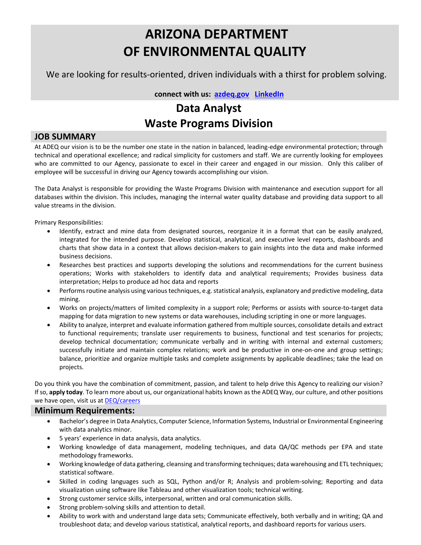# **ARIZONA DEPARTMENT OF ENVIRONMENTAL QUALITY**

We are looking for results-oriented, driven individuals with a thirst for problem solving.

 **connect with us: [azdeq.gov](http://www.azdeq.gov/) [LinkedIn](https://www.linkedin.com/company/arizona-department-of-environmental-quality)**

## **Data Analyst Waste Programs Division**

### **JOB SUMMARY**

At ADEQ our vision is to be the number one state in the nation in balanced, leading-edge environmental protection; through technical and operational excellence; and radical simplicity for customers and staff. We are currently looking for employees who are committed to our Agency, passionate to excel in their career and engaged in our mission. Only this caliber of employee will be successful in driving our Agency towards accomplishing our vision.

The Data Analyst is responsible for providing the Waste Programs Division with maintenance and execution support for all databases within the division. This includes, managing the internal water quality database and providing data support to all value streams in the division.

Primary Responsibilities:

- Identify, extract and mine data from designated sources, reorganize it in a format that can be easily analyzed, integrated for the intended purpose. Develop statistical, analytical, and executive level reports, dashboards and charts that show data in a context that allows decision-makers to gain insights into the data and make informed business decisions.
- Researches best practices and supports developing the solutions and recommendations for the current business operations; Works with stakeholders to identify data and analytical requirements; Provides business data interpretation; Helps to produce ad hoc data and reports
- Performs routine analysis using various techniques, e.g. statistical analysis, explanatory and predictive modeling, data mining.
- Works on projects/matters of limited complexity in a support role; Performs or assists with source-to-target data mapping for data migration to new systems or data warehouses, including scripting in one or more languages.
- Ability to analyze, interpret and evaluate information gathered from multiple sources, consolidate details and extract to functional requirements; translate user requirements to business, functional and test scenarios for projects; develop technical documentation; communicate verbally and in writing with internal and external customers; successfully initiate and maintain complex relations; work and be productive in one-on-one and group settings; balance, prioritize and organize multiple tasks and complete assignments by applicable deadlines; take the lead on projects.

Do you think you have the combination of commitment, passion, and talent to help drive this Agency to realizing our vision? If so, **apply today**. To learn more about us, our organizational habits known as the ADEQ Way, our culture, and other positions we have open, visit us a[t DEQ/careers](https://azdeq.gov/careers)

#### **Minimum Requirements:**

- Bachelor's degree in Data Analytics, Computer Science, Information Systems, Industrial or Environmental Engineering with data analytics minor.
- 5 years' experience in data analysis, data analytics.
- Working knowledge of data management, modeling techniques, and data QA/QC methods per EPA and state methodology frameworks.
- Working knowledge of data gathering, cleansing and transforming techniques; data warehousing and ETL techniques; statistical software.
- Skilled in coding languages such as SQL, Python and/or R; Analysis and problem-solving; Reporting and data visualization using software like Tableau and other visualization tools; technical writing.
- Strong customer service skills, interpersonal, written and oral communication skills.
- Strong problem-solving skills and attention to detail.
- Ability to work with and understand large data sets; Communicate effectively, both verbally and in writing; QA and troubleshoot data; and develop various statistical, analytical reports, and dashboard reports for various users.